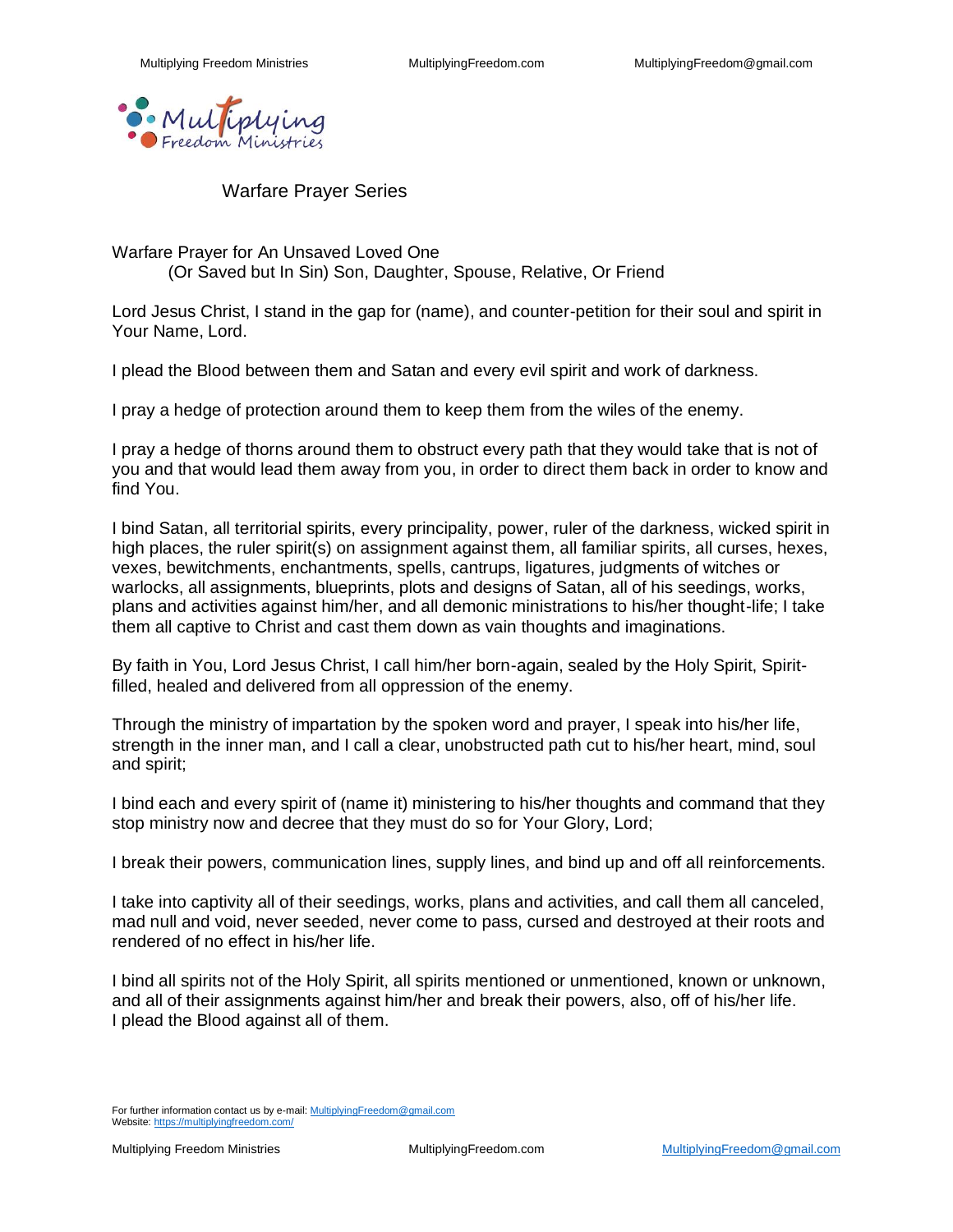

Warfare Prayer Series

Warfare Prayer for An Unsaved Loved One (Or Saved but In Sin) Son, Daughter, Spouse, Relative, Or Friend

Lord Jesus Christ, I stand in the gap for (name), and counter-petition for their soul and spirit in Your Name, Lord.

I plead the Blood between them and Satan and every evil spirit and work of darkness.

I pray a hedge of protection around them to keep them from the wiles of the enemy.

I pray a hedge of thorns around them to obstruct every path that they would take that is not of you and that would lead them away from you, in order to direct them back in order to know and find You.

I bind Satan, all territorial spirits, every principality, power, ruler of the darkness, wicked spirit in high places, the ruler spirit(s) on assignment against them, all familiar spirits, all curses, hexes, vexes, bewitchments, enchantments, spells, cantrups, ligatures, judgments of witches or warlocks, all assignments, blueprints, plots and designs of Satan, all of his seedings, works, plans and activities against him/her, and all demonic ministrations to his/her thought-life; I take them all captive to Christ and cast them down as vain thoughts and imaginations.

By faith in You, Lord Jesus Christ, I call him/her born-again, sealed by the Holy Spirit, Spiritfilled, healed and delivered from all oppression of the enemy.

Through the ministry of impartation by the spoken word and prayer, I speak into his/her life, strength in the inner man, and I call a clear, unobstructed path cut to his/her heart, mind, soul and spirit;

I bind each and every spirit of (name it) ministering to his/her thoughts and command that they stop ministry now and decree that they must do so for Your Glory, Lord;

I break their powers, communication lines, supply lines, and bind up and off all reinforcements.

I take into captivity all of their seedings, works, plans and activities, and call them all canceled, mad null and void, never seeded, never come to pass, cursed and destroyed at their roots and rendered of no effect in his/her life.

I bind all spirits not of the Holy Spirit, all spirits mentioned or unmentioned, known or unknown, and all of their assignments against him/her and break their powers, also, off of his/her life. I plead the Blood against all of them.

For further information contact us by e-mail[: MultiplyingFreedom@gmail.com](mailto:MultiplyingFreedom@gmail.com) Website[: https://multiplyingfreedom.com/](https://multiplyingfreedom.com/)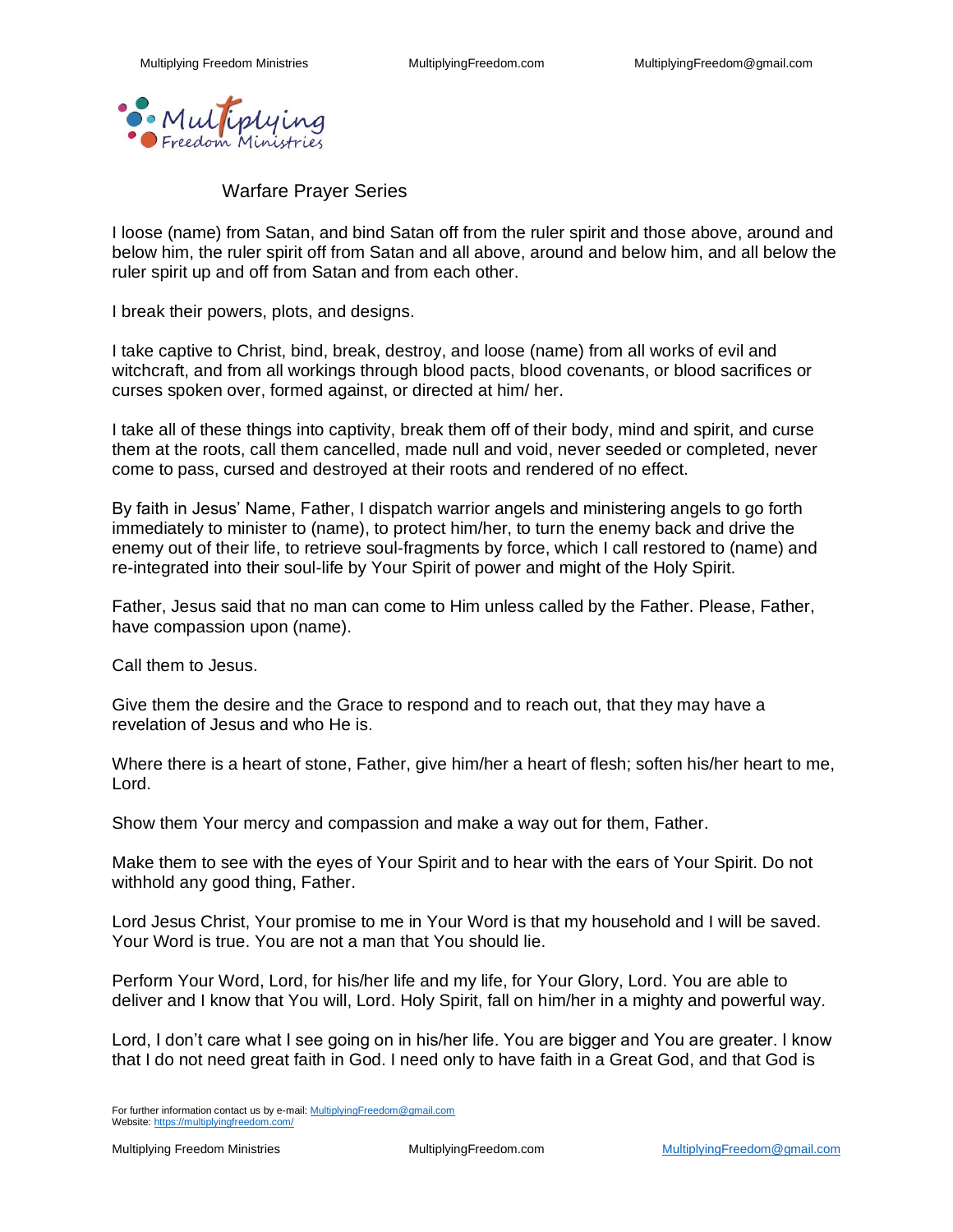

Warfare Prayer Series

I loose (name) from Satan, and bind Satan off from the ruler spirit and those above, around and below him, the ruler spirit off from Satan and all above, around and below him, and all below the ruler spirit up and off from Satan and from each other.

I break their powers, plots, and designs.

I take captive to Christ, bind, break, destroy, and loose (name) from all works of evil and witchcraft, and from all workings through blood pacts, blood covenants, or blood sacrifices or curses spoken over, formed against, or directed at him/ her.

I take all of these things into captivity, break them off of their body, mind and spirit, and curse them at the roots, call them cancelled, made null and void, never seeded or completed, never come to pass, cursed and destroyed at their roots and rendered of no effect.

By faith in Jesus' Name, Father, I dispatch warrior angels and ministering angels to go forth immediately to minister to (name), to protect him/her, to turn the enemy back and drive the enemy out of their life, to retrieve soul-fragments by force, which I call restored to (name) and re-integrated into their soul-life by Your Spirit of power and might of the Holy Spirit.

Father, Jesus said that no man can come to Him unless called by the Father. Please, Father, have compassion upon (name).

Call them to Jesus.

Give them the desire and the Grace to respond and to reach out, that they may have a revelation of Jesus and who He is.

Where there is a heart of stone, Father, give him/her a heart of flesh; soften his/her heart to me, Lord.

Show them Your mercy and compassion and make a way out for them, Father.

Make them to see with the eyes of Your Spirit and to hear with the ears of Your Spirit. Do not withhold any good thing, Father.

Lord Jesus Christ, Your promise to me in Your Word is that my household and I will be saved. Your Word is true. You are not a man that You should lie.

Perform Your Word, Lord, for his/her life and my life, for Your Glory, Lord. You are able to deliver and I know that You will, Lord. Holy Spirit, fall on him/her in a mighty and powerful way.

Lord, I don't care what I see going on in his/her life. You are bigger and You are greater. I know that I do not need great faith in God. I need only to have faith in a Great God, and that God is

For further information contact us by e-mail[: MultiplyingFreedom@gmail.com](mailto:MultiplyingFreedom@gmail.com) Website[: https://multiplyingfreedom.com/](https://multiplyingfreedom.com/)